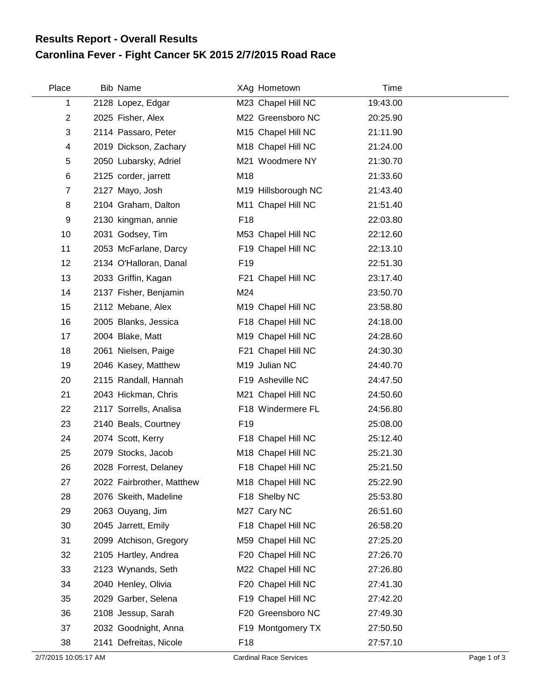## **Caronlina Fever - Fight Cancer 5K 2015 2/7/2015 Road Race Results Report - Overall Results**

| Place          | Bib Name                  |                 | XAg Hometown        | Time     |
|----------------|---------------------------|-----------------|---------------------|----------|
| 1              | 2128 Lopez, Edgar         |                 | M23 Chapel Hill NC  | 19:43.00 |
| $\overline{2}$ | 2025 Fisher, Alex         |                 | M22 Greensboro NC   | 20:25.90 |
| 3              | 2114 Passaro, Peter       |                 | M15 Chapel Hill NC  | 21:11.90 |
| 4              | 2019 Dickson, Zachary     |                 | M18 Chapel Hill NC  | 21:24.00 |
| 5              | 2050 Lubarsky, Adriel     |                 | M21 Woodmere NY     | 21:30.70 |
| 6              | 2125 corder, jarrett      | M18             |                     | 21:33.60 |
| $\overline{7}$ | 2127 Mayo, Josh           |                 | M19 Hillsborough NC | 21:43.40 |
| 8              | 2104 Graham, Dalton       |                 | M11 Chapel Hill NC  | 21:51.40 |
| 9              | 2130 kingman, annie       | F18             |                     | 22:03.80 |
| 10             | 2031 Godsey, Tim          |                 | M53 Chapel Hill NC  | 22:12.60 |
| 11             | 2053 McFarlane, Darcy     |                 | F19 Chapel Hill NC  | 22:13.10 |
| 12             | 2134 O'Halloran, Danal    | F <sub>19</sub> |                     | 22:51.30 |
| 13             | 2033 Griffin, Kagan       |                 | F21 Chapel Hill NC  | 23:17.40 |
| 14             | 2137 Fisher, Benjamin     | M24             |                     | 23:50.70 |
| 15             | 2112 Mebane, Alex         |                 | M19 Chapel Hill NC  | 23:58.80 |
| 16             | 2005 Blanks, Jessica      |                 | F18 Chapel Hill NC  | 24:18.00 |
| 17             | 2004 Blake, Matt          |                 | M19 Chapel Hill NC  | 24:28.60 |
| 18             | 2061 Nielsen, Paige       |                 | F21 Chapel Hill NC  | 24:30.30 |
| 19             | 2046 Kasey, Matthew       |                 | M19 Julian NC       | 24:40.70 |
| 20             | 2115 Randall, Hannah      |                 | F19 Asheville NC    | 24:47.50 |
| 21             | 2043 Hickman, Chris       |                 | M21 Chapel Hill NC  | 24:50.60 |
| 22             | 2117 Sorrells, Analisa    |                 | F18 Windermere FL   | 24:56.80 |
| 23             | 2140 Beals, Courtney      | F <sub>19</sub> |                     | 25:08.00 |
| 24             | 2074 Scott, Kerry         |                 | F18 Chapel Hill NC  | 25:12.40 |
| 25             | 2079 Stocks, Jacob        |                 | M18 Chapel Hill NC  | 25:21.30 |
| 26             | 2028 Forrest, Delaney     |                 | F18 Chapel Hill NC  | 25:21.50 |
| 27             | 2022 Fairbrother, Matthew |                 | M18 Chapel Hill NC  | 25:22.90 |
| 28             | 2076 Skeith, Madeline     |                 | F18 Shelby NC       | 25:53.80 |
| 29             | 2063 Ouyang, Jim          |                 | M27 Cary NC         | 26:51.60 |
| 30             | 2045 Jarrett, Emily       |                 | F18 Chapel Hill NC  | 26:58.20 |
| 31             | 2099 Atchison, Gregory    |                 | M59 Chapel Hill NC  | 27:25.20 |
| 32             | 2105 Hartley, Andrea      |                 | F20 Chapel Hill NC  | 27:26.70 |
| 33             | 2123 Wynands, Seth        |                 | M22 Chapel Hill NC  | 27:26.80 |
| 34             | 2040 Henley, Olivia       |                 | F20 Chapel Hill NC  | 27:41.30 |
| 35             | 2029 Garber, Selena       |                 | F19 Chapel Hill NC  | 27:42.20 |
| 36             | 2108 Jessup, Sarah        |                 | F20 Greensboro NC   | 27:49.30 |
| 37             | 2032 Goodnight, Anna      |                 | F19 Montgomery TX   | 27:50.50 |
| 38             | 2141 Defreitas, Nicole    | F <sub>18</sub> |                     | 27:57.10 |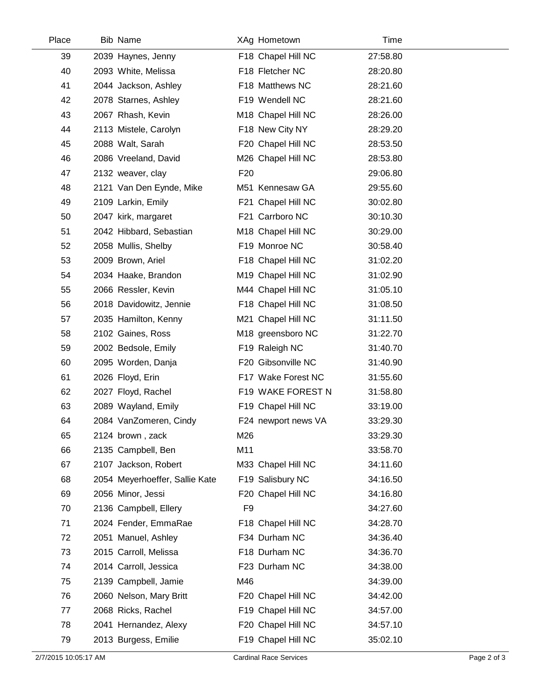| Place | <b>Bib Name</b>                |                 | XAg Hometown        | Time     |
|-------|--------------------------------|-----------------|---------------------|----------|
| 39    | 2039 Haynes, Jenny             |                 | F18 Chapel Hill NC  | 27:58.80 |
| 40    | 2093 White, Melissa            |                 | F18 Fletcher NC     | 28:20.80 |
| 41    | 2044 Jackson, Ashley           |                 | F18 Matthews NC     | 28:21.60 |
| 42    | 2078 Starnes, Ashley           |                 | F19 Wendell NC      | 28:21.60 |
| 43    | 2067 Rhash, Kevin              |                 | M18 Chapel Hill NC  | 28:26.00 |
| 44    | 2113 Mistele, Carolyn          |                 | F18 New City NY     | 28:29.20 |
| 45    | 2088 Walt, Sarah               |                 | F20 Chapel Hill NC  | 28:53.50 |
| 46    | 2086 Vreeland, David           |                 | M26 Chapel Hill NC  | 28:53.80 |
| 47    | 2132 weaver, clay              | F <sub>20</sub> |                     | 29:06.80 |
| 48    | 2121 Van Den Eynde, Mike       |                 | M51 Kennesaw GA     | 29:55.60 |
| 49    | 2109 Larkin, Emily             |                 | F21 Chapel Hill NC  | 30:02.80 |
| 50    | 2047 kirk, margaret            |                 | F21 Carrboro NC     | 30:10.30 |
| 51    | 2042 Hibbard, Sebastian        |                 | M18 Chapel Hill NC  | 30:29.00 |
| 52    | 2058 Mullis, Shelby            |                 | F19 Monroe NC       | 30:58.40 |
| 53    | 2009 Brown, Ariel              |                 | F18 Chapel Hill NC  | 31:02.20 |
| 54    | 2034 Haake, Brandon            |                 | M19 Chapel Hill NC  | 31:02.90 |
| 55    | 2066 Ressler, Kevin            |                 | M44 Chapel Hill NC  | 31:05.10 |
| 56    | 2018 Davidowitz, Jennie        |                 | F18 Chapel Hill NC  | 31:08.50 |
| 57    | 2035 Hamilton, Kenny           |                 | M21 Chapel Hill NC  | 31:11.50 |
| 58    | 2102 Gaines, Ross              |                 | M18 greensboro NC   | 31:22.70 |
| 59    | 2002 Bedsole, Emily            |                 | F19 Raleigh NC      | 31:40.70 |
| 60    | 2095 Worden, Danja             |                 | F20 Gibsonville NC  | 31:40.90 |
| 61    | 2026 Floyd, Erin               |                 | F17 Wake Forest NC  | 31:55.60 |
| 62    | 2027 Floyd, Rachel             |                 | F19 WAKE FOREST N   | 31:58.80 |
| 63    | 2089 Wayland, Emily            |                 | F19 Chapel Hill NC  | 33:19.00 |
| 64    | 2084 VanZomeren, Cindy         |                 | F24 newport news VA | 33:29.30 |
| 65    | 2124 brown, zack               | M26             |                     | 33:29.30 |
| 66    | 2135 Campbell, Ben             | M11             |                     | 33:58.70 |
| 67    | 2107 Jackson, Robert           |                 | M33 Chapel Hill NC  | 34:11.60 |
| 68    | 2054 Meyerhoeffer, Sallie Kate |                 | F19 Salisbury NC    | 34:16.50 |
| 69    | 2056 Minor, Jessi              |                 | F20 Chapel Hill NC  | 34:16.80 |
| 70    | 2136 Campbell, Ellery          | F <sub>9</sub>  |                     | 34:27.60 |
| 71    | 2024 Fender, EmmaRae           |                 | F18 Chapel Hill NC  | 34:28.70 |
| 72    | 2051 Manuel, Ashley            |                 | F34 Durham NC       | 34:36.40 |
| 73    | 2015 Carroll, Melissa          |                 | F18 Durham NC       | 34:36.70 |
| 74    | 2014 Carroll, Jessica          |                 | F23 Durham NC       | 34:38.00 |
| 75    | 2139 Campbell, Jamie           | M46             |                     | 34:39.00 |
| 76    | 2060 Nelson, Mary Britt        |                 | F20 Chapel Hill NC  | 34:42.00 |
| 77    | 2068 Ricks, Rachel             |                 | F19 Chapel Hill NC  | 34:57.00 |
| 78    | 2041 Hernandez, Alexy          |                 | F20 Chapel Hill NC  | 34:57.10 |
| 79    | 2013 Burgess, Emilie           |                 | F19 Chapel Hill NC  | 35:02.10 |